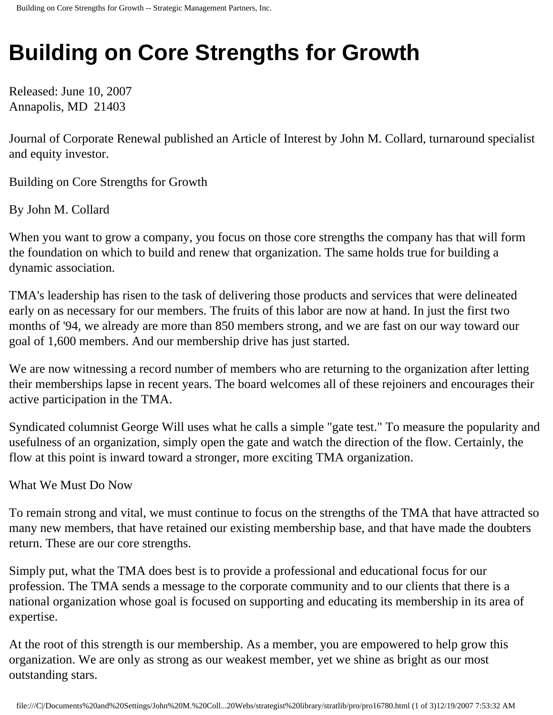## **Building on Core Strengths for Growth**

Released: June 10, 2007 Annapolis, MD 21403

Journal of Corporate Renewal published an Article of Interest by John M. Collard, turnaround specialist and equity investor.

Building on Core Strengths for Growth

By John M. Collard

When you want to grow a company, you focus on those core strengths the company has that will form the foundation on which to build and renew that organization. The same holds true for building a dynamic association.

TMA's leadership has risen to the task of delivering those products and services that were delineated early on as necessary for our members. The fruits of this labor are now at hand. In just the first two months of '94, we already are more than 850 members strong, and we are fast on our way toward our goal of 1,600 members. And our membership drive has just started.

We are now witnessing a record number of members who are returning to the organization after letting their memberships lapse in recent years. The board welcomes all of these rejoiners and encourages their active participation in the TMA.

Syndicated columnist George Will uses what he calls a simple "gate test." To measure the popularity and usefulness of an organization, simply open the gate and watch the direction of the flow. Certainly, the flow at this point is inward toward a stronger, more exciting TMA organization.

What We Must Do Now

To remain strong and vital, we must continue to focus on the strengths of the TMA that have attracted so many new members, that have retained our existing membership base, and that have made the doubters return. These are our core strengths.

Simply put, what the TMA does best is to provide a professional and educational focus for our profession. The TMA sends a message to the corporate community and to our clients that there is a national organization whose goal is focused on supporting and educating its membership in its area of expertise.

At the root of this strength is our membership. As a member, you are empowered to help grow this organization. We are only as strong as our weakest member, yet we shine as bright as our most outstanding stars.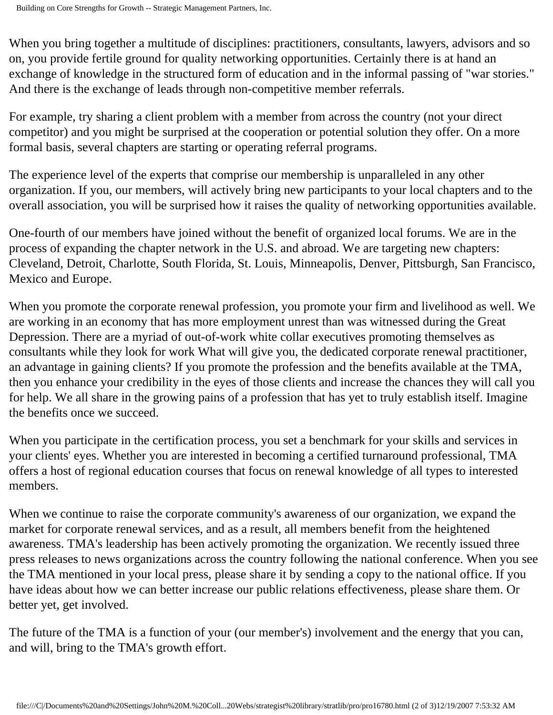When you bring together a multitude of disciplines: practitioners, consultants, lawyers, advisors and so on, you provide fertile ground for quality networking opportunities. Certainly there is at hand an exchange of knowledge in the structured form of education and in the informal passing of "war stories." And there is the exchange of leads through non-competitive member referrals.

For example, try sharing a client problem with a member from across the country (not your direct competitor) and you might be surprised at the cooperation or potential solution they offer. On a more formal basis, several chapters are starting or operating referral programs.

The experience level of the experts that comprise our membership is unparalleled in any other organization. If you, our members, will actively bring new participants to your local chapters and to the overall association, you will be surprised how it raises the quality of networking opportunities available.

One-fourth of our members have joined without the benefit of organized local forums. We are in the process of expanding the chapter network in the U.S. and abroad. We are targeting new chapters: Cleveland, Detroit, Charlotte, South Florida, St. Louis, Minneapolis, Denver, Pittsburgh, San Francisco, Mexico and Europe.

When you promote the corporate renewal profession, you promote your firm and livelihood as well. We are working in an economy that has more employment unrest than was witnessed during the Great Depression. There are a myriad of out-of-work white collar executives promoting themselves as consultants while they look for work What will give you, the dedicated corporate renewal practitioner, an advantage in gaining clients? If you promote the profession and the benefits available at the TMA, then you enhance your credibility in the eyes of those clients and increase the chances they will call you for help. We all share in the growing pains of a profession that has yet to truly establish itself. Imagine the benefits once we succeed.

When you participate in the certification process, you set a benchmark for your skills and services in your clients' eyes. Whether you are interested in becoming a certified turnaround professional, TMA offers a host of regional education courses that focus on renewal knowledge of all types to interested members.

When we continue to raise the corporate community's awareness of our organization, we expand the market for corporate renewal services, and as a result, all members benefit from the heightened awareness. TMA's leadership has been actively promoting the organization. We recently issued three press releases to news organizations across the country following the national conference. When you see the TMA mentioned in your local press, please share it by sending a copy to the national office. If you have ideas about how we can better increase our public relations effectiveness, please share them. Or better yet, get involved.

The future of the TMA is a function of your (our member's) involvement and the energy that you can, and will, bring to the TMA's growth effort.